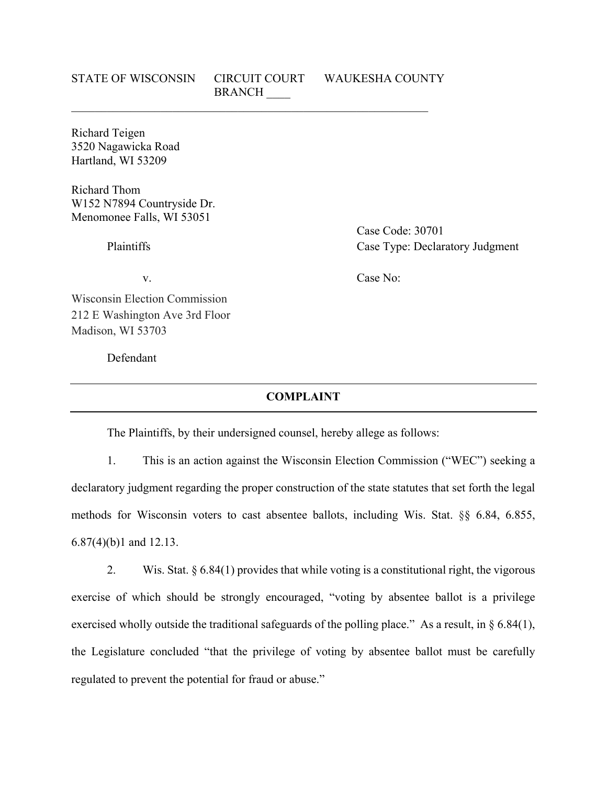# STATE OF WISCONSIN CIRCUIT COURT WAUKESHA COUNTY **BRANCH**

Richard Teigen 3520 Nagawicka Road Hartland, WI 53209

Richard Thom W152 N7894 Countryside Dr. Menomonee Falls, WI 53051

Case Code: 30701 Plaintiffs Case Type: Declaratory Judgment

Wisconsin Election Commission 212 E Washington Ave 3rd Floor Madison, WI 53703

Defendant

# v. Case No:

### **COMPLAINT**

The Plaintiffs, by their undersigned counsel, hereby allege as follows:

1. This is an action against the Wisconsin Election Commission ("WEC") seeking a declaratory judgment regarding the proper construction of the state statutes that set forth the legal methods for Wisconsin voters to cast absentee ballots, including Wis. Stat. [§§ 6.84, 6.855,](https://1.next.westlaw.com/Link/Document/FullText?findType=L&pubNum=1000260&cite=WIST6.87&originatingDoc=Ibe9175203e5811eba075d817282e94c2&refType=SP&originationContext=document&transitionType=DocumentItem&contextData=(sc.Search)#co_pp_6f600000e2fa7) [6.87\(4\)\(b\)1](https://1.next.westlaw.com/Link/Document/FullText?findType=L&pubNum=1000260&cite=WIST6.87&originatingDoc=Ibe9175203e5811eba075d817282e94c2&refType=SP&originationContext=document&transitionType=DocumentItem&contextData=(sc.Search)#co_pp_6f600000e2fa7) and 12.13.

2. Wis. Stat. § 6.84(1) provides that while voting is a constitutional right, the vigorous exercise of which should be strongly encouraged, "voting by absentee ballot is a privilege exercised wholly outside the traditional safeguards of the polling place." As a result, in § 6.84(1), the Legislature concluded "that the privilege of voting by absentee ballot must be carefully regulated to prevent the potential for fraud or abuse."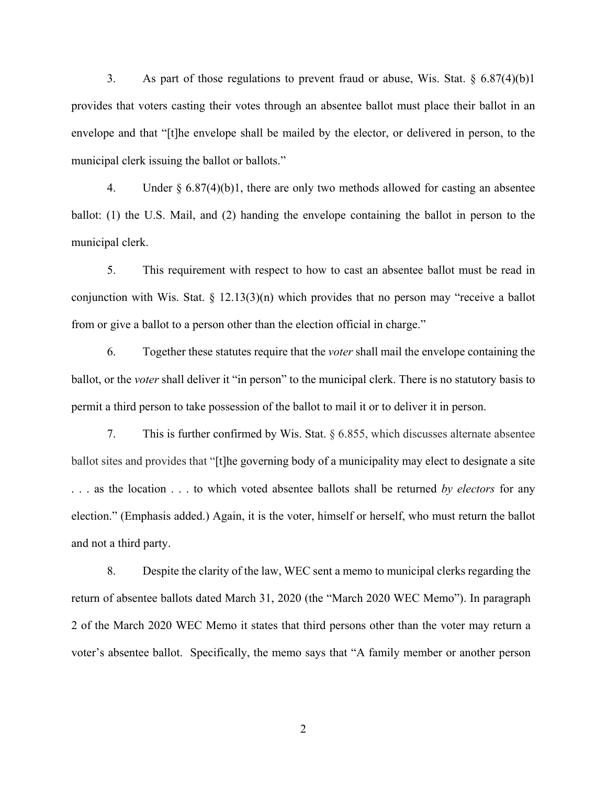3. As part of those regulations to prevent fraud or abuse, Wis. Stat.  $\S 6.87(4)(b)1$ provides that voters casting their votes through an absentee ballot must place their ballot in an envelope and that "[t]he envelope shall be mailed by the elector, or delivered in person, to the municipal clerk issuing the ballot or ballots."

4. Under  $\S 6.87(4)(b)1$ , there are only two methods allowed for casting an absentee ballot: (1) the U.S. Mail, and (2) handing the envelope containing the ballot in person to the municipal clerk.

5. This requirement with respect to how to cast an absentee ballot must be read in conjunction with Wis. Stat. § 12.13(3)(n) which provides that no person may "receive a ballot from or give a ballot to a person other than the election official in charge."

6. Together these statutes require that the *voter* shall mail the envelope containing the ballot, or the *voter* shall deliver it "in person" to the municipal clerk. There is no statutory basis to permit a third person to take possession of the ballot to mail it or to deliver it in person.

7. This is further confirmed by Wis. Stat. § 6.855, which discusses alternate absentee ballot sites and provides that "[t]he governing body of a municipality may elect to designate a site . . . as the location . . . to which voted absentee ballots shall be returned *by electors* for any election." (Emphasis added.) Again, it is the voter, himself or herself, who must return the ballot and not a third party.

8. Despite the clarity of the law, WEC sent a memo to municipal clerks regarding the return of absentee ballots dated March 31, 2020 (the "March 2020 WEC Memo"). In paragraph 2 of the March 2020 WEC Memo it states that third persons other than the voter may return a voter's absentee ballot. Specifically, the memo says that "A family member or another person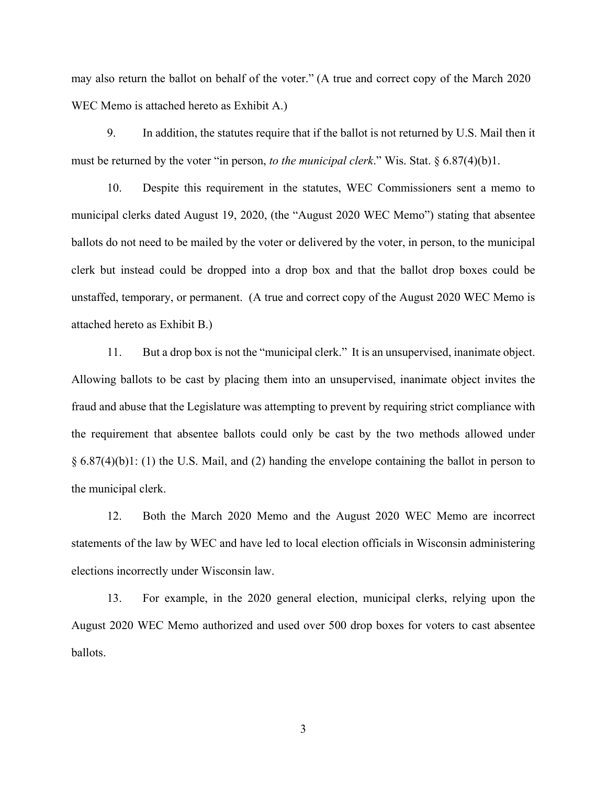may also return the ballot on behalf of the voter." (A true and correct copy of the March 2020 WEC Memo is attached hereto as Exhibit A.)

9. In addition, the statutes require that if the ballot is not returned by U.S. Mail then it must be returned by the voter "in person, *to the municipal clerk*." Wis. Stat. § 6.87(4)(b)1.

10. Despite this requirement in the statutes, WEC Commissioners sent a memo to municipal clerks dated August 19, 2020, (the "August 2020 WEC Memo") stating that absentee ballots do not need to be mailed by the voter or delivered by the voter, in person, to the municipal clerk but instead could be dropped into a drop box and that the ballot drop boxes could be unstaffed, temporary, or permanent. (A true and correct copy of the August 2020 WEC Memo is attached hereto as Exhibit B.)

11. But a drop box is not the "municipal clerk." It is an unsupervised, inanimate object. Allowing ballots to be cast by placing them into an unsupervised, inanimate object invites the fraud and abuse that the Legislature was attempting to prevent by requiring strict compliance with the requirement that absentee ballots could only be cast by the two methods allowed under § 6.87(4)(b)1: (1) the U.S. Mail, and (2) handing the envelope containing the ballot in person to the municipal clerk.

12. Both the March 2020 Memo and the August 2020 WEC Memo are incorrect statements of the law by WEC and have led to local election officials in Wisconsin administering elections incorrectly under Wisconsin law.

13. For example, in the 2020 general election, municipal clerks, relying upon the August 2020 WEC Memo authorized and used over 500 drop boxes for voters to cast absentee ballots.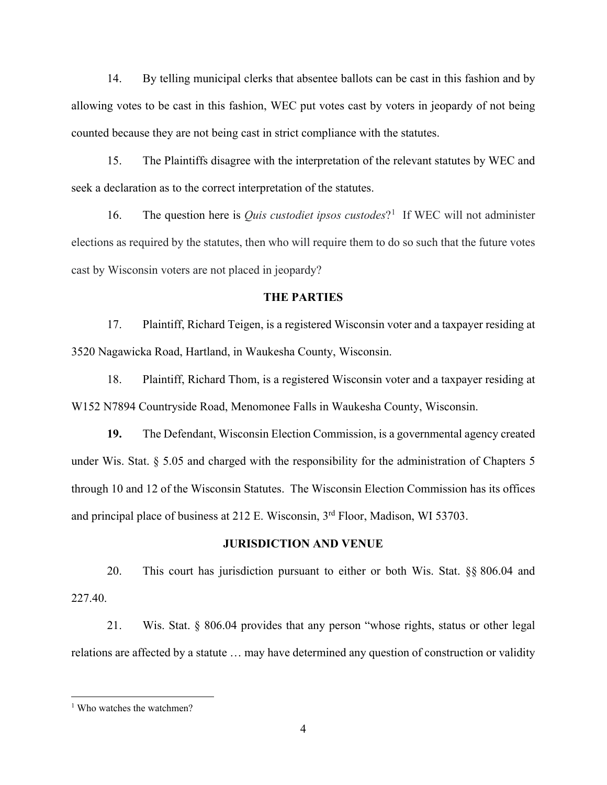14. By telling municipal clerks that absentee ballots can be cast in this fashion and by allowing votes to be cast in this fashion, WEC put votes cast by voters in jeopardy of not being counted because they are not being cast in strict compliance with the statutes.

15. The Plaintiffs disagree with the interpretation of the relevant statutes by WEC and seek a declaration as to the correct interpretation of the statutes.

[1](#page-3-0)6. The question here is *Quis custodiet ipsos custodes*?<sup>1</sup> If WEC will not administer elections as required by the statutes, then who will require them to do so such that the future votes cast by Wisconsin voters are not placed in jeopardy?

### **THE PARTIES**

17. Plaintiff, Richard Teigen, is a registered Wisconsin voter and a taxpayer residing at 3520 Nagawicka Road, Hartland, in Waukesha County, Wisconsin.

18. Plaintiff, Richard Thom, is a registered Wisconsin voter and a taxpayer residing at W152 N7894 Countryside Road, Menomonee Falls in Waukesha County, Wisconsin.

**19.** The Defendant, Wisconsin Election Commission, is a governmental agency created under Wis. Stat. § 5.05 and charged with the responsibility for the administration of Chapters 5 through 10 and 12 of the Wisconsin Statutes. The Wisconsin Election Commission has its offices and principal place of business at 212 E. Wisconsin, 3rd Floor, Madison, WI 53703.

#### **JURISDICTION AND VENUE**

20. This court has jurisdiction pursuant to either or both Wis. Stat. §§ 806.04 and 227.40.

21. Wis. Stat. § 806.04 provides that any person "whose rights, status or other legal relations are affected by a statute … may have determined any question of construction or validity

<span id="page-3-0"></span><sup>&</sup>lt;sup>1</sup> Who watches the watchmen?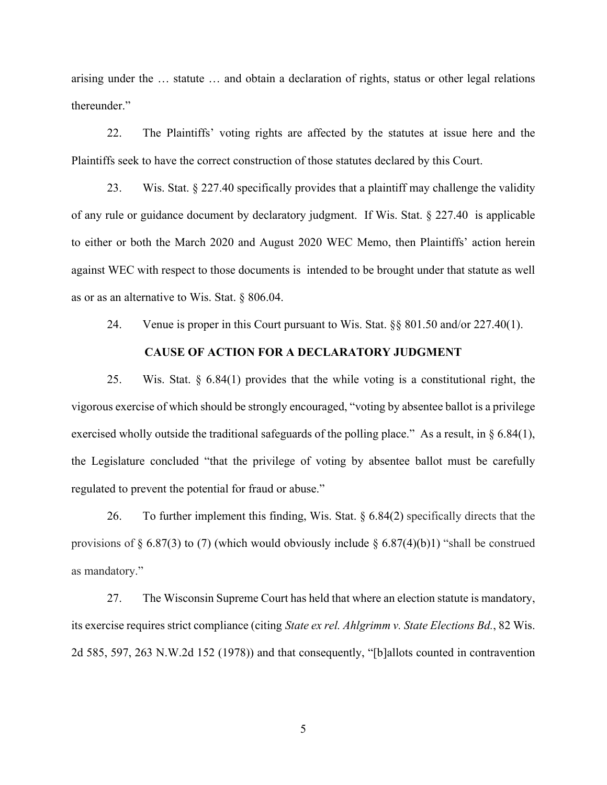arising under the … statute … and obtain a declaration of rights, status or other legal relations thereunder."

22. The Plaintiffs' voting rights are affected by the statutes at issue here and the Plaintiffs seek to have the correct construction of those statutes declared by this Court.

23. Wis. Stat.  $\S 227.40$  specifically provides that a plaintiff may challenge the validity of any rule or guidance document by declaratory judgment. If Wis. Stat. § 227.40 is applicable to either or both the March 2020 and August 2020 WEC Memo, then Plaintiffs' action herein against WEC with respect to those documents is intended to be brought under that statute as well as or as an alternative to Wis. Stat. § 806.04.

24. Venue is proper in this Court pursuant to Wis. Stat. §§ 801.50 and/or 227.40(1).

## **CAUSE OF ACTION FOR A DECLARATORY JUDGMENT**

25. Wis. Stat. § 6.84(1) provides that the while voting is a constitutional right, the vigorous exercise of which should be strongly encouraged, "voting by absentee ballot is a privilege exercised wholly outside the traditional safeguards of the polling place." As a result, in § 6.84(1), the Legislature concluded "that the privilege of voting by absentee ballot must be carefully regulated to prevent the potential for fraud or abuse."

26. To further implement this finding, [Wis. Stat. § 6.84\(2\)](https://1.next.westlaw.com/Link/Document/FullText?findType=L&pubNum=1000260&cite=WIST6.84&originatingDoc=Ibe9175203e5811eba075d817282e94c2&refType=SP&originationContext=document&transitionType=DocumentItem&contextData=(sc.Search)#co_pp_58730000872b1) specifically directs that the provisions of [§ 6.87\(3\) to \(7\) \(which would obviously include § 6.87\(4\)\(b\)1\)](https://1.next.westlaw.com/Link/Document/FullText?findType=L&pubNum=1000260&cite=WIST6.87&originatingDoc=Ibe9175203e5811eba075d817282e94c2&refType=SP&originationContext=document&transitionType=DocumentItem&contextData=(sc.Search)#co_pp_6f600000e2fa7) "shall be construed as mandatory."

27. The Wisconsin Supreme Court has held that where an election statute is mandatory, its exercise requires strict compliance (citing *State ex rel. Ahlgrimm v. State Elections Bd.*, 82 Wis. 2d 585, 597, 263 N.W.2d 152 (1978)) and that consequently, "[b]allots counted in contravention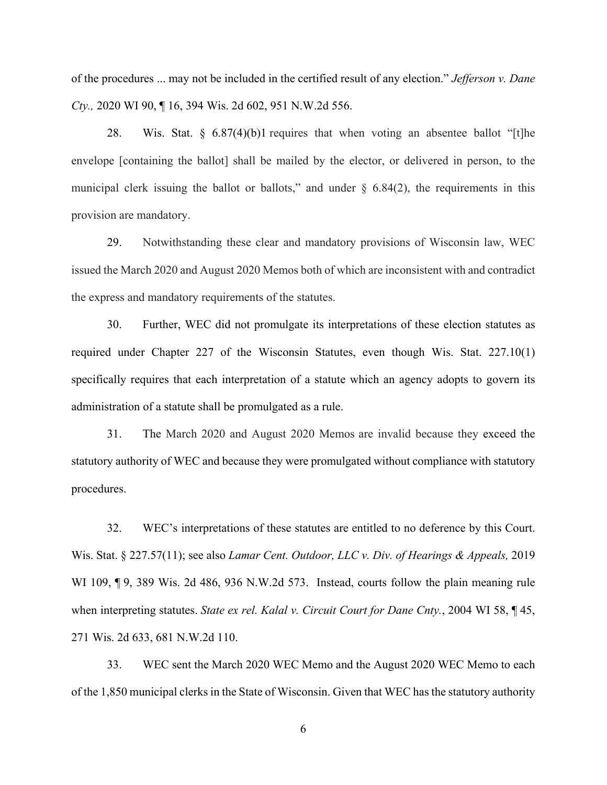of the procedures ... may not be included in the certified result of any election." *Jefferson v. Dane Cty.,* 2020 WI 90, ¶ 16, 394 Wis. 2d 602, 951 N.W.2d 556.

28. [Wis. Stat. § 6.87\(4\)\(b\)1](https://1.next.westlaw.com/Link/Document/FullText?findType=L&pubNum=1000260&cite=WIST6.87&originatingDoc=Ibe9175203e5811eba075d817282e94c2&refType=SP&originationContext=document&transitionType=DocumentItem&contextData=(sc.Search)#co_pp_6f600000e2fa7) requires that when voting an absentee ballot "[t]he envelope [containing the ballot] shall be mailed by the elector, or delivered in person, to the municipal clerk issuing the ballot or ballots," and under  $\S$  6.84(2), the requirements in this provision are mandatory.

29. Notwithstanding these clear and mandatory provisions of Wisconsin law, WEC issued the March 2020 and August 2020 Memos both of which are inconsistent with and contradict the express and mandatory requirements of the statutes.

30. Further, WEC did not promulgate its interpretations of these election statutes as required under Chapter 227 of the Wisconsin Statutes, even though Wis. Stat. 227.10(1) specifically requires that each interpretation of a statute which an agency adopts to govern its administration of a statute shall be promulgated as a rule.

31. The March 2020 and August 2020 Memos are invalid because they exceed the statutory authority of WEC and because they were promulgated without compliance with statutory procedures.

32. WEC's interpretations of these statutes are entitled to no deference by this Court. [Wis. Stat. § 227.57\(11\);](https://1.next.westlaw.com/Link/Document/FullText?findType=L&pubNum=1000260&cite=WIST227.57&originatingDoc=Ibe9175203e5811eba075d817282e94c2&refType=SP&originationContext=document&transitionType=DocumentItem&contextData=(sc.History*oc.Search)#co_pp_9da60000c3824) see also *[Lamar Cent. Outdoor, LLC v. Div. of Hearings & Appeals,](https://1.next.westlaw.com/Link/Document/FullText?findType=Y&serNum=2049879496&pubNum=0000595&originatingDoc=Ibe9175203e5811eba075d817282e94c2&refType=RP&originationContext=document&transitionType=DocumentItem&contextData=(sc.History*oc.Search))* 2019 WI 109,  $\P$ [9, 389 Wis. 2d 486, 936 N.W.2d 573.](https://1.next.westlaw.com/Link/Document/FullText?findType=Y&serNum=2049879496&pubNum=0000595&originatingDoc=Ibe9175203e5811eba075d817282e94c2&refType=RP&originationContext=document&transitionType=DocumentItem&contextData=(sc.History*oc.Search)) Instead, courts follow the plain meaning rule when interpreting statutes. *[State ex rel. Kalal v. Circuit Court for Dane Cnty.](https://1.next.westlaw.com/Link/Document/FullText?findType=Y&serNum=2004507995&pubNum=0000595&originatingDoc=Ibe9175203e5811eba075d817282e94c2&refType=RP&originationContext=document&transitionType=DocumentItem&contextData=(sc.History*oc.Search))*, 2004 WI 58, ¶ 45, [271 Wis. 2d 633, 681 N.W.2d 110.](https://1.next.westlaw.com/Link/Document/FullText?findType=Y&serNum=2004507995&pubNum=0000595&originatingDoc=Ibe9175203e5811eba075d817282e94c2&refType=RP&originationContext=document&transitionType=DocumentItem&contextData=(sc.History*oc.Search))

33. WEC sent the March 2020 WEC Memo and the August 2020 WEC Memo to each of the 1,850 municipal clerks in the State of Wisconsin. Given that WEC has the statutory authority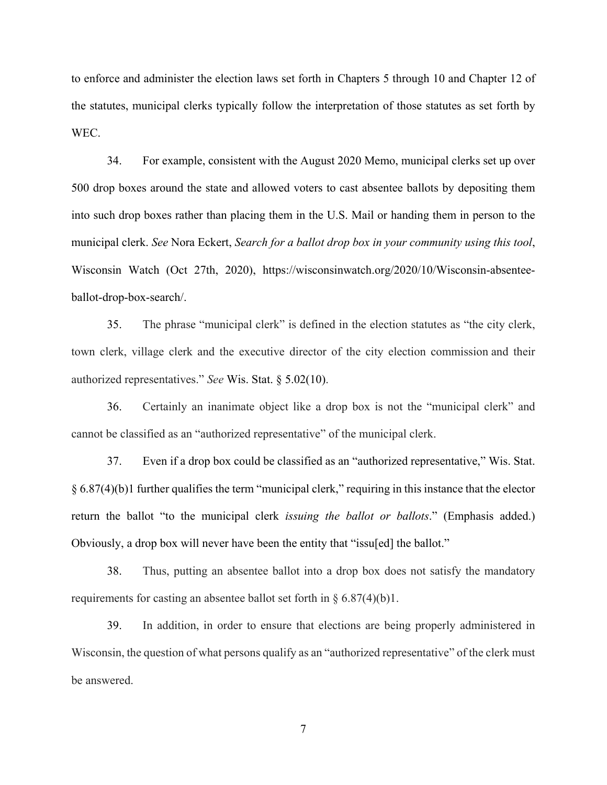to enforce and administer the election laws set forth in Chapters 5 through 10 and Chapter 12 of the statutes, municipal clerks typically follow the interpretation of those statutes as set forth by WEC.

34. For example, consistent with the August 2020 Memo, municipal clerks set up over 500 drop boxes around the state and allowed voters to cast absentee ballots by depositing them into such drop boxes rather than placing them in the U.S. Mail or handing them in person to the municipal clerk. *See* Nora Eckert, *Search for a ballot drop box in your community using this tool*, Wisconsin Watch (Oct 27th, 2020), https://wisconsinwatch.org/2020/10/Wisconsin-absenteeballot-drop-box-search/.

35. The phrase "municipal clerk" is defined in the election statutes as "the city clerk, town clerk, village clerk and the executive director of the city election commission and their authorized representatives." *See* [Wis. Stat. § 5.02\(10\).](https://1.next.westlaw.com/Link/Document/FullText?findType=L&pubNum=1000260&cite=WIST5.02&originatingDoc=Ibe9175203e5811eba075d817282e94c2&refType=SP&originationContext=document&transitionType=DocumentItem&contextData=(sc.Search)#co_pp_f19d0000e06d3)

36. Certainly an inanimate object like a drop box is not the "municipal clerk" and cannot be classified as an "authorized representative" of the municipal clerk.

37. Even if a drop box could be classified as an "authorized representative," [Wis. Stat.](https://1.next.westlaw.com/Link/Document/FullText?findType=L&pubNum=1000260&cite=WIST6.87&originatingDoc=Ibe9175203e5811eba075d817282e94c2&refType=SP&originationContext=document&transitionType=DocumentItem&contextData=(sc.Search)#co_pp_6f600000e2fa7)  [§ 6.87\(4\)\(b\)1](https://1.next.westlaw.com/Link/Document/FullText?findType=L&pubNum=1000260&cite=WIST6.87&originatingDoc=Ibe9175203e5811eba075d817282e94c2&refType=SP&originationContext=document&transitionType=DocumentItem&contextData=(sc.Search)#co_pp_6f600000e2fa7) further qualifies the term "municipal clerk," requiring in this instance that the elector return the ballot "to the municipal clerk *issuing the ballot or ballots*." (Emphasis added.) Obviously, a drop box will never have been the entity that "issu[ed] the ballot."

38. Thus, putting an absentee ballot into a drop box does not satisfy the mandatory requirements for casting an absentee ballot set forth in  $\S 6.87(4)(b)$ .

39. In addition, in order to ensure that elections are being properly administered in Wisconsin, the question of what persons qualify as an "authorized representative" of the clerk must be answered.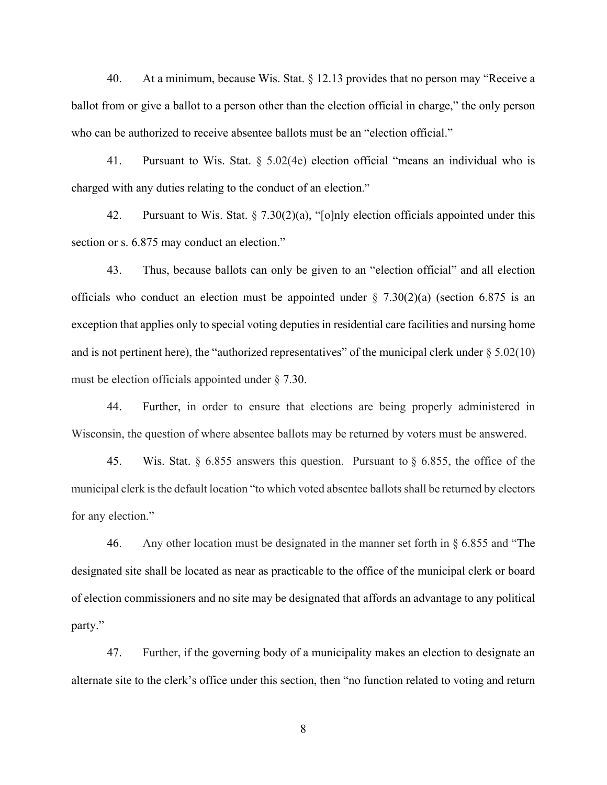40. At a minimum, because Wis. Stat. § 12.13 provides that no person may "Receive a ballot from or give a ballot to a person other than the election official in charge," the only person who can be authorized to receive absentee ballots must be an "election official."

41. Pursuant to Wis. Stat. § 5.02(4e) election official "means an individual who is charged with any duties relating to the conduct of an election."

42. Pursuant to Wis. Stat.  $\S 7.30(2)(a)$ , "[o]nly election officials appointed under this section or s. [6.875](https://docs.legis.wisconsin.gov/document/statutes/6.875) may conduct an election."

43. Thus, because ballots can only be given to an "election official" and all election officials who conduct an election must be appointed under  $\S$  7.30(2)(a) (section 6.875 is an exception that applies only to special voting deputies in residential care facilities and nursing home and is not pertinent here), the "authorized representatives" of the municipal clerk under  $\S 5.02(10)$ must be election officials appointed under § 7.30.

44. Further, in order to ensure that elections are being properly administered in Wisconsin, the question of where absentee ballots may be returned by voters must be answered.

45. Wis. Stat. § 6.855 answers this question. Pursuant to § 6.855, the office of the municipal clerk is the default location "to which voted absentee ballots shall be returned by electors for any election."

46. Any other location must be designated in the manner set forth in § 6.855 and "The designated site shall be located as near as practicable to the office of the municipal clerk or board of election commissioners and no site may be designated that affords an advantage to any political party."

47. Further, if the governing body of a municipality makes an election to designate an alternate site to the clerk's office under this section, then "no function related to voting and return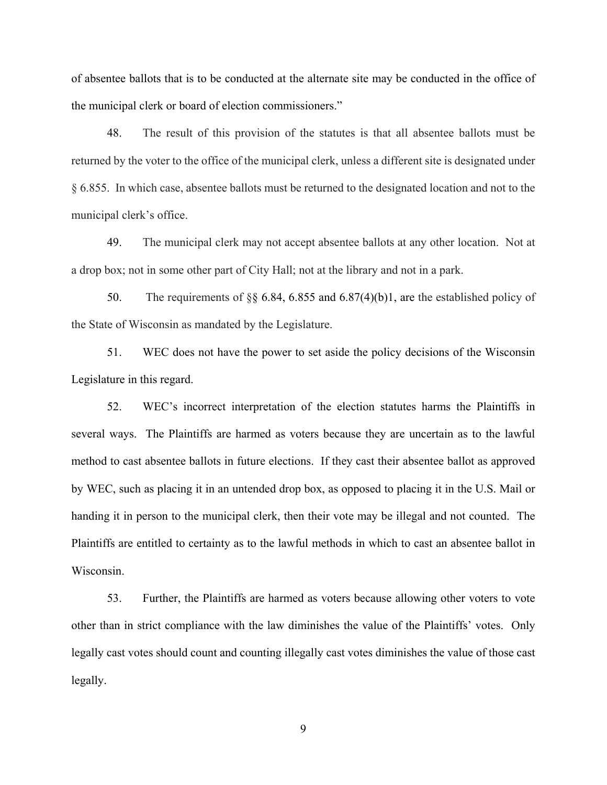of absentee ballots that is to be conducted at the alternate site may be conducted in the office of the municipal clerk or board of election commissioners."

48. The result of this provision of the statutes is that all absentee ballots must be returned by the voter to the office of the municipal clerk, unless a different site is designated under § 6.855. In which case, absentee ballots must be returned to the designated location and not to the municipal clerk's office.

49. The municipal clerk may not accept absentee ballots at any other location. Not at a drop box; not in some other part of City Hall; not at the library and not in a park.

50. The requirements of [§§ 6.84, 6.855 and 6.87\(4\)\(b\)1,](https://1.next.westlaw.com/Link/Document/FullText?findType=L&pubNum=1000260&cite=WIST6.87&originatingDoc=Ibe9175203e5811eba075d817282e94c2&refType=SP&originationContext=document&transitionType=DocumentItem&contextData=(sc.Search)#co_pp_6f600000e2fa7) are the established policy of the State of Wisconsin as mandated by the Legislature.

51. WEC does not have the power to set aside the policy decisions of the Wisconsin Legislature in this regard.

52. WEC's incorrect interpretation of the election statutes harms the Plaintiffs in several ways. The Plaintiffs are harmed as voters because they are uncertain as to the lawful method to cast absentee ballots in future elections. If they cast their absentee ballot as approved by WEC, such as placing it in an untended drop box, as opposed to placing it in the U.S. Mail or handing it in person to the municipal clerk, then their vote may be illegal and not counted. The Plaintiffs are entitled to certainty as to the lawful methods in which to cast an absentee ballot in Wisconsin.

53. Further, the Plaintiffs are harmed as voters because allowing other voters to vote other than in strict compliance with the law diminishes the value of the Plaintiffs' votes. Only legally cast votes should count and counting illegally cast votes diminishes the value of those cast legally.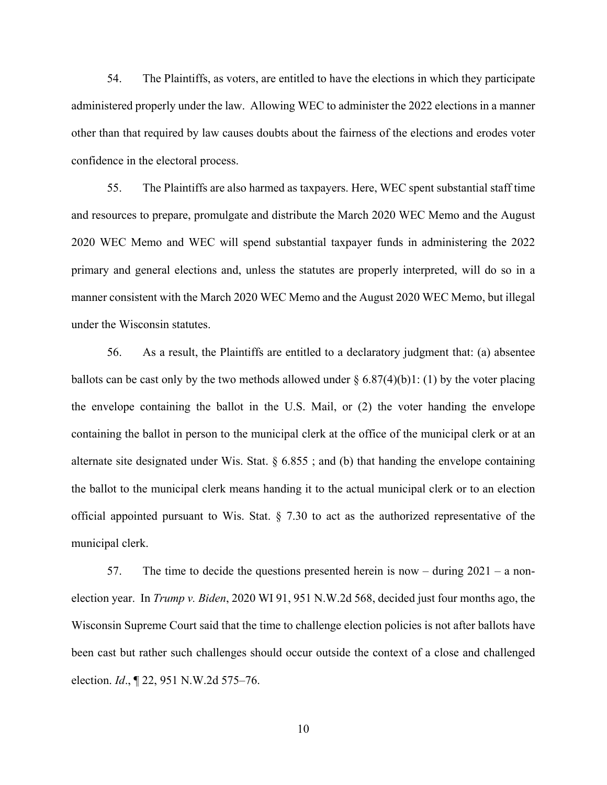54. The Plaintiffs, as voters, are entitled to have the elections in which they participate administered properly under the law. Allowing WEC to administer the 2022 elections in a manner other than that required by law causes doubts about the fairness of the elections and erodes voter confidence in the electoral process.

55. The Plaintiffs are also harmed as taxpayers. Here, WEC spent substantial staff time and resources to prepare, promulgate and distribute the March 2020 WEC Memo and the August 2020 WEC Memo and WEC will spend substantial taxpayer funds in administering the 2022 primary and general elections and, unless the statutes are properly interpreted, will do so in a manner consistent with the March 2020 WEC Memo and the August 2020 WEC Memo, but illegal under the Wisconsin statutes.

56. As a result, the Plaintiffs are entitled to a declaratory judgment that: (a) absentee ballots can be cast only by the two methods allowed under  $\S 6.87(4)(b)1$ : (1) by the voter placing the envelope containing the ballot in the U.S. Mail, or (2) the voter handing the envelope containing the ballot in person to the municipal clerk at the office of the municipal clerk or at an alternate site designated under Wis. Stat. § 6.855 ; and (b) that handing the envelope containing the ballot to the municipal clerk means handing it to the actual municipal clerk or to an election official appointed pursuant to Wis. Stat. § 7.30 to act as the authorized representative of the municipal clerk.

57. The time to decide the questions presented herein is now – during 2021 – a nonelection year. In *Trump v. Biden*, 2020 WI 91, 951 N.W.2d 568, decided just four months ago, the Wisconsin Supreme Court said that the time to challenge election policies is not after ballots have been cast but rather such challenges should occur outside the context of a close and challenged election. *Id*., ¶ 22, 951 N.W.2d 575–76.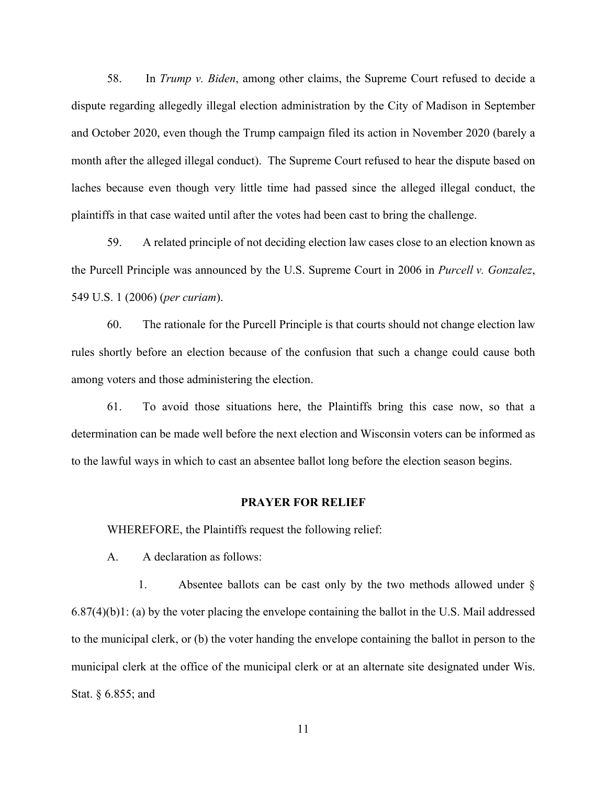58. In *Trump v. Biden*, among other claims, the Supreme Court refused to decide a dispute regarding allegedly illegal election administration by the City of Madison in September and October 2020, even though the Trump campaign filed its action in November 2020 (barely a month after the alleged illegal conduct). The Supreme Court refused to hear the dispute based on laches because even though very little time had passed since the alleged illegal conduct, the plaintiffs in that case waited until after the votes had been cast to bring the challenge.

59. A related principle of not deciding election law cases close to an election known as the Purcell Principle was announced by the U.S. Supreme Court in 2006 in *Purcell v. Gonzalez*, 549 U.S. 1 (2006) (*per curiam*).

60. The rationale for the Purcell Principle is that courts should not change election law rules shortly before an election because of the confusion that such a change could cause both among voters and those administering the election.

61. To avoid those situations here, the Plaintiffs bring this case now, so that a determination can be made well before the next election and Wisconsin voters can be informed as to the lawful ways in which to cast an absentee ballot long before the election season begins.

#### **PRAYER FOR RELIEF**

WHEREFORE, the Plaintiffs request the following relief:

A. A declaration as follows:

1. Absentee ballots can be cast only by the two methods allowed under  $\S$ 6.87(4)(b)1: (a) by the voter placing the envelope containing the ballot in the U.S. Mail addressed to the municipal clerk, or (b) the voter handing the envelope containing the ballot in person to the municipal clerk at the office of the municipal clerk or at an alternate site designated under Wis. Stat. § 6.855; and